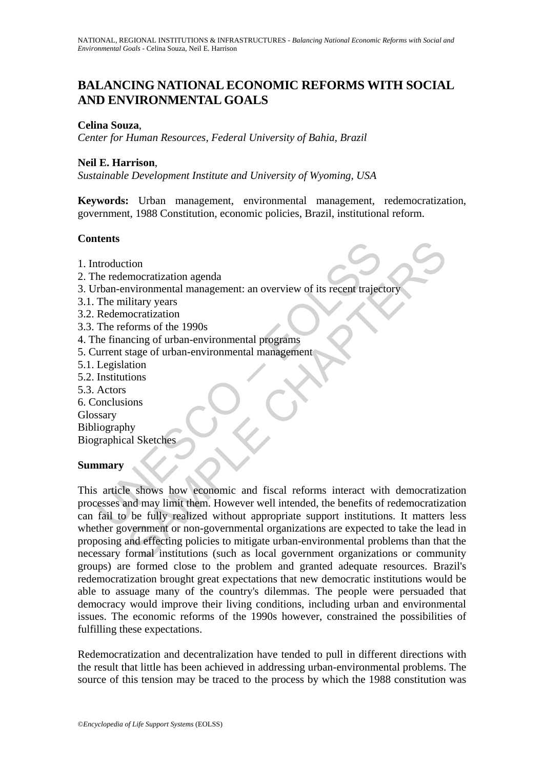# **BALANCING NATIONAL ECONOMIC REFORMS WITH SOCIAL AND ENVIRONMENTAL GOALS**

#### **Celina Souza**,

*Center for Human Resources, Federal University of Bahia, Brazil*

#### **Neil E. Harrison**,

*Sustainable Development Institute and University of Wyoming, USA* 

**Keywords:** Urban management, environmental management, redemocratization, government, 1988 Constitution, economic policies, Brazil, institutional reform.

### **Contents**

- 1. Introduction
- 2. The redemocratization agenda
- 3. Urban-environmental management: an overview of its recent trajectory
- 3.1. The military years
- 3.2. Redemocratization
- 3.3. The reforms of the 1990s
- 4. The financing of urban-environmental programs
- 5. Current stage of urban-environmental management
- 5.1. Legislation
- 5.2. Institutions
- 5.3. Actors
- 6. Conclusions

**Glossary** 

Bibliography Biographical Sketches

#### **Summary**

The metals and the redemocratization agenda<br>
the redemocratization agenda<br>
The military years<br>
The military years<br>
The military years<br>
The military years<br>
The reforms of the 1990s<br>
the financing of urban-environmental prog tion<br>
immocratization<br>
amy<br>
ilitary vears<br>
ilitary vears<br>
ilitary vears<br>
ilitary vears<br>
ilitary vears<br>
ilitary vears<br>
ilitary vears<br>
ilitary vears<br>
ilitary vears<br>
ilitary vears<br>
ilitary vears<br>
ilitary vears<br>
ilitary of the This article shows how economic and fiscal reforms interact with democratization processes and may limit them. However well intended, the benefits of redemocratization can fail to be fully realized without appropriate support institutions. It matters less whether government or non-governmental organizations are expected to take the lead in proposing and effecting policies to mitigate urban-environmental problems than that the necessary formal institutions (such as local government organizations or community groups) are formed close to the problem and granted adequate resources. Brazil's redemocratization brought great expectations that new democratic institutions would be able to assuage many of the country's dilemmas. The people were persuaded that democracy would improve their living conditions, including urban and environmental issues. The economic reforms of the 1990s however, constrained the possibilities of fulfilling these expectations.

Redemocratization and decentralization have tended to pull in different directions with the result that little has been achieved in addressing urban-environmental problems. The source of this tension may be traced to the process by which the 1988 constitution was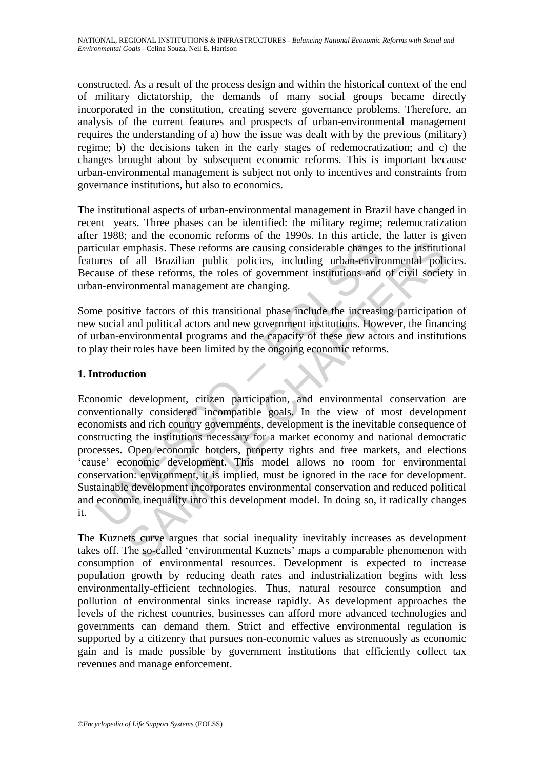constructed. As a result of the process design and within the historical context of the end of military dictatorship, the demands of many social groups became directly incorporated in the constitution, creating severe governance problems. Therefore, an analysis of the current features and prospects of urban-environmental management requires the understanding of a) how the issue was dealt with by the previous (military) regime; b) the decisions taken in the early stages of redemocratization; and c) the changes brought about by subsequent economic reforms. This is important because urban-environmental management is subject not only to incentives and constraints from governance institutions, but also to economics.

The institutional aspects of urban-environmental management in Brazil have changed in recent years. Three phases can be identified: the military regime; redemocratization after 1988; and the economic reforms of the 1990s. In this article, the latter is given particular emphasis. These reforms are causing considerable changes to the institutional features of all Brazilian public policies, including urban-environmental policies. Because of these reforms, the roles of government institutions and of civil society in urban-environmental management are changing.

Some positive factors of this transitional phase include the increasing participation of new social and political actors and new government institutions. However, the financing of urban-environmental programs and the capacity of these new actors and institutions to play their roles have been limited by the ongoing economic reforms.

## **1. Introduction**

icular emphasis. These reforms are causing considerable changes<br>ures of all Brazilian public policies, including urban-enviro<br>ause of these reforms, the roles of government institutions and<br>m-environmental management are c mphasis. These reforms are causing considerable changes to the institution and performs are causing considerable changes to the institution and price reforms, the roles of government institutions and of civil societ commen Economic development, citizen participation, and environmental conservation are conventionally considered incompatible goals. In the view of most development economists and rich country governments, development is the inevitable consequence of constructing the institutions necessary for a market economy and national democratic processes. Open economic borders, property rights and free markets, and elections 'cause' economic development. This model allows no room for environmental conservation: environment, it is implied, must be ignored in the race for development. Sustainable development incorporates environmental conservation and reduced political and economic inequality into this development model. In doing so, it radically changes it.

The Kuznets curve argues that social inequality inevitably increases as development takes off. The so-called 'environmental Kuznets' maps a comparable phenomenon with consumption of environmental resources. Development is expected to increase population growth by reducing death rates and industrialization begins with less environmentally-efficient technologies. Thus, natural resource consumption and pollution of environmental sinks increase rapidly. As development approaches the levels of the richest countries, businesses can afford more advanced technologies and governments can demand them. Strict and effective environmental regulation is supported by a citizenry that pursues non-economic values as strenuously as economic gain and is made possible by government institutions that efficiently collect tax revenues and manage enforcement.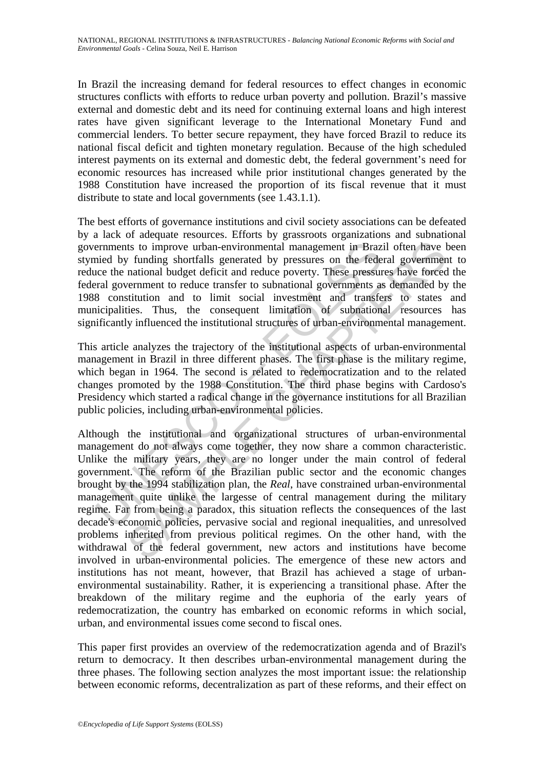In Brazil the increasing demand for federal resources to effect changes in economic structures conflicts with efforts to reduce urban poverty and pollution. Brazil's massive external and domestic debt and its need for continuing external loans and high interest rates have given significant leverage to the International Monetary Fund and commercial lenders. To better secure repayment, they have forced Brazil to reduce its national fiscal deficit and tighten monetary regulation. Because of the high scheduled interest payments on its external and domestic debt, the federal government's need for economic resources has increased while prior institutional changes generated by the 1988 Constitution have increased the proportion of its fiscal revenue that it must distribute to state and local governments (see 1.43.1.1).

The best efforts of governance institutions and civil society associations can be defeated by a lack of adequate resources. Efforts by grassroots organizations and subnational governments to improve urban-environmental management in Brazil often have been stymied by funding shortfalls generated by pressures on the federal government to reduce the national budget deficit and reduce poverty. These pressures have forced the federal government to reduce transfer to subnational governments as demanded by the 1988 constitution and to limit social investment and transfers to states and municipalities. Thus, the consequent limitation of subnational resources has significantly influenced the institutional structures of urban-environmental management.

This article analyzes the trajectory of the institutional aspects of urban-environmental management in Brazil in three different phases. The first phase is the military regime, which began in 1964. The second is related to redemocratization and to the related changes promoted by the 1988 Constitution. The third phase begins with Cardoso's Presidency which started a radical change in the governance institutions for all Brazilian public policies, including urban-environmental policies.

ernments to improve urban-environmental management in Braz<br>nied by funding shortfalls generated by pressures on the fede<br>ce the national budget deficit and reduce poverty. These pressure<br>al government to reduce transfer to Its to improve urban-environmental management in Brazil often have ly funding shortfalls generated by pressures on the federal government<br>national budget deficit and reduce poverty. These pressures have foreced<br>national bu Although the institutional and organizational structures of urban-environmental management do not always come together, they now share a common characteristic. Unlike the military years, they are no longer under the main control of federal government. The reform of the Brazilian public sector and the economic changes brought by the 1994 stabilization plan, the *Real*, have constrained urban-environmental management quite unlike the largesse of central management during the military regime. Far from being a paradox, this situation reflects the consequences of the last decade's economic policies, pervasive social and regional inequalities, and unresolved problems inherited from previous political regimes. On the other hand, with the withdrawal of the federal government, new actors and institutions have become involved in urban-environmental policies. The emergence of these new actors and institutions has not meant, however, that Brazil has achieved a stage of urbanenvironmental sustainability. Rather, it is experiencing a transitional phase. After the breakdown of the military regime and the euphoria of the early years of redemocratization, the country has embarked on economic reforms in which social, urban, and environmental issues come second to fiscal ones.

This paper first provides an overview of the redemocratization agenda and of Brazil's return to democracy. It then describes urban-environmental management during the three phases. The following section analyzes the most important issue: the relationship between economic reforms, decentralization as part of these reforms, and their effect on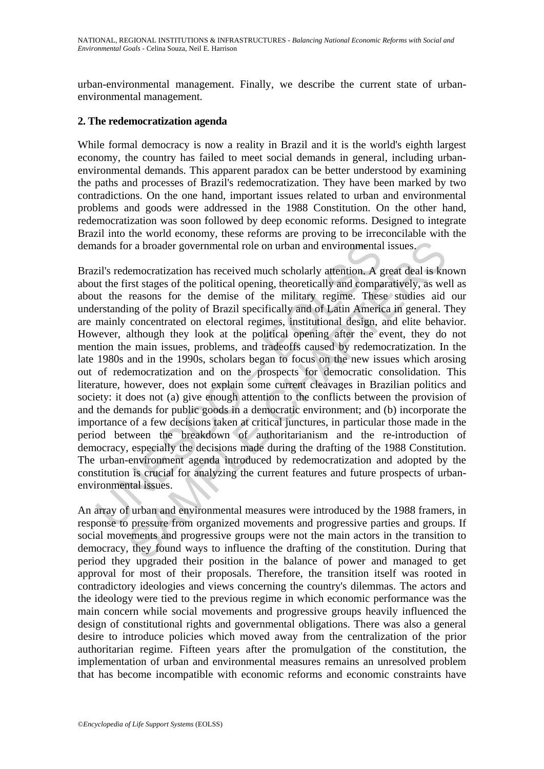urban-environmental management. Finally, we describe the current state of urbanenvironmental management.

### **2. The redemocratization agenda**

While formal democracy is now a reality in Brazil and it is the world's eighth largest economy, the country has failed to meet social demands in general, including urbanenvironmental demands. This apparent paradox can be better understood by examining the paths and processes of Brazil's redemocratization. They have been marked by two contradictions. On the one hand, important issues related to urban and environmental problems and goods were addressed in the 1988 Constitution. On the other hand, redemocratization was soon followed by deep economic reforms. Designed to integrate Brazil into the world economy, these reforms are proving to be irreconcilable with the demands for a broader governmental role on urban and environmental issues.

ands for a broader governmental role on urban and environmental<br>zil's redemocratization has received much scholarly attention. A g<br>at tu the first stages of the political opening, theoretically and compa<br>at tu the reasons or a broader governmental role on urban and environmental issues.<br>
lemocratization has received much scholarly attention. A great deal is kn<br>
ist stages of the political opening, theoretically and comparatively, as we<br>
rea Brazil's redemocratization has received much scholarly attention. A great deal is known about the first stages of the political opening, theoretically and comparatively, as well as about the reasons for the demise of the military regime. These studies aid our understanding of the polity of Brazil specifically and of Latin America in general. They are mainly concentrated on electoral regimes, institutional design, and elite behavior. However, although they look at the political opening after the event, they do not mention the main issues, problems, and tradeoffs caused by redemocratization. In the late 1980s and in the 1990s, scholars began to focus on the new issues which arosing out of redemocratization and on the prospects for democratic consolidation. This literature, however, does not explain some current cleavages in Brazilian politics and society: it does not (a) give enough attention to the conflicts between the provision of and the demands for public goods in a democratic environment; and (b) incorporate the importance of a few decisions taken at critical junctures, in particular those made in the period between the breakdown of authoritarianism and the re-introduction of democracy, especially the decisions made during the drafting of the 1988 Constitution. The urban-environment agenda introduced by redemocratization and adopted by the constitution is crucial for analyzing the current features and future prospects of urbanenvironmental issues.

An array of urban and environmental measures were introduced by the 1988 framers, in response to pressure from organized movements and progressive parties and groups. If social movements and progressive groups were not the main actors in the transition to democracy, they found ways to influence the drafting of the constitution. During that period they upgraded their position in the balance of power and managed to get approval for most of their proposals. Therefore, the transition itself was rooted in contradictory ideologies and views concerning the country's dilemmas. The actors and the ideology were tied to the previous regime in which economic performance was the main concern while social movements and progressive groups heavily influenced the design of constitutional rights and governmental obligations. There was also a general desire to introduce policies which moved away from the centralization of the prior authoritarian regime. Fifteen years after the promulgation of the constitution, the implementation of urban and environmental measures remains an unresolved problem that has become incompatible with economic reforms and economic constraints have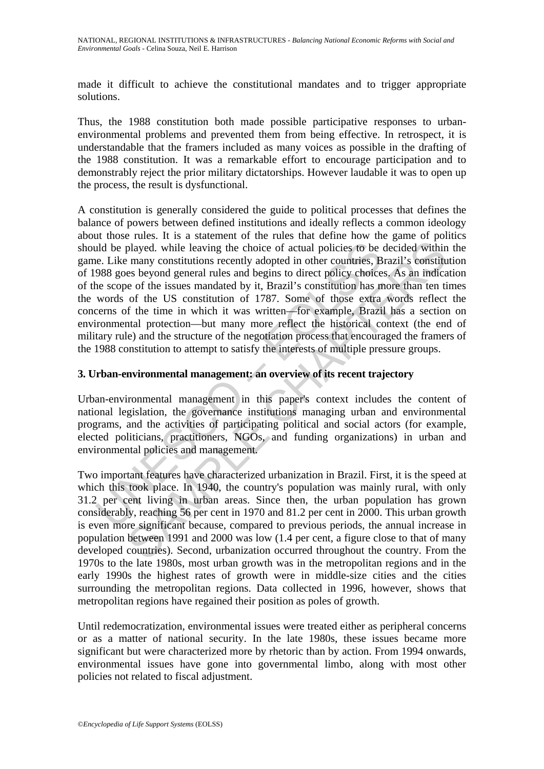made it difficult to achieve the constitutional mandates and to trigger appropriate solutions.

Thus, the 1988 constitution both made possible participative responses to urbanenvironmental problems and prevented them from being effective. In retrospect, it is understandable that the framers included as many voices as possible in the drafting of the 1988 constitution. It was a remarkable effort to encourage participation and to demonstrably reject the prior military dictatorships. However laudable it was to open up the process, the result is dysfunctional.

and be played. while leaving the choice of actual policies to be<br>e. Like many constitutions recently adopted in other countries, B<br>988 goes beyond general rules and begins to direct policy choice<br>he scope of the issues man played. while leaving the choice of actual policies to be decided within<br>played. while leaving the choice of actual policies to be decided within<br>many constitutions recently adopted in other countries, Brazil's constitute<br> A constitution is generally considered the guide to political processes that defines the balance of powers between defined institutions and ideally reflects a common ideology about those rules. It is a statement of the rules that define how the game of politics should be played. while leaving the choice of actual policies to be decided within the game. Like many constitutions recently adopted in other countries, Brazil's constitution of 1988 goes beyond general rules and begins to direct policy choices. As an indication of the scope of the issues mandated by it, Brazil's constitution has more than ten times the words of the US constitution of 1787. Some of those extra words reflect the concerns of the time in which it was written—for example, Brazil has a section on environmental protection—but many more reflect the historical context (the end of military rule) and the structure of the negotiation process that encouraged the framers of the 1988 constitution to attempt to satisfy the interests of multiple pressure groups.

## **3. Urban-environmental management: an overview of its recent trajectory**

Urban-environmental management in this paper's context includes the content of national legislation, the governance institutions managing urban and environmental programs, and the activities of participating political and social actors (for example, elected politicians, practitioners, NGOs, and funding organizations) in urban and environmental policies and management.

Two important features have characterized urbanization in Brazil. First, it is the speed at which this took place. In 1940, the country's population was mainly rural, with only 31.2 per cent living in urban areas. Since then, the urban population has grown considerably, reaching 56 per cent in 1970 and 81.2 per cent in 2000. This urban growth is even more significant because, compared to previous periods, the annual increase in population between 1991 and 2000 was low (1.4 per cent, a figure close to that of many developed countries). Second, urbanization occurred throughout the country. From the 1970s to the late 1980s, most urban growth was in the metropolitan regions and in the early 1990s the highest rates of growth were in middle-size cities and the cities surrounding the metropolitan regions. Data collected in 1996, however, shows that metropolitan regions have regained their position as poles of growth.

Until redemocratization, environmental issues were treated either as peripheral concerns or as a matter of national security. In the late 1980s, these issues became more significant but were characterized more by rhetoric than by action. From 1994 onwards, environmental issues have gone into governmental limbo, along with most other policies not related to fiscal adjustment.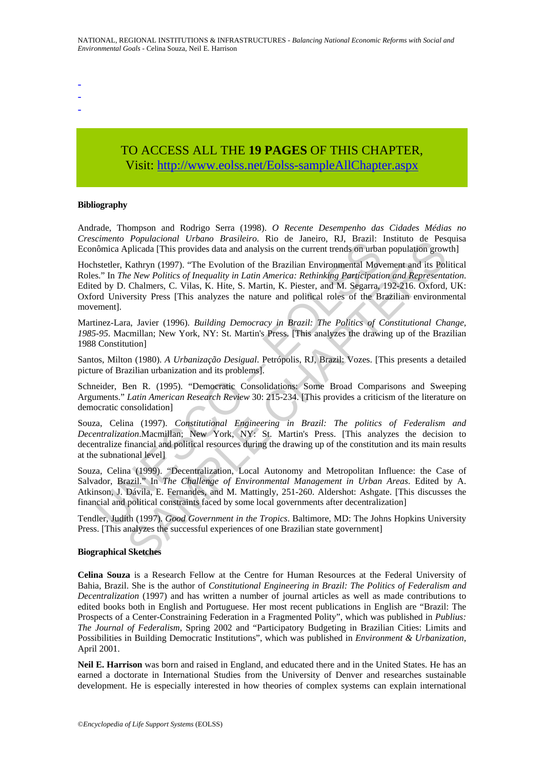- -
- -

# TO ACCESS ALL THE **19 PAGES** OF THIS CHAPTER, Visit: [http://www.eolss.net/Eolss-sampleAllChapter.aspx](https://www.eolss.net/ebooklib/sc_cart.aspx?File=E1-43-01-02)

#### **Bibliography**

Andrade, Thompson and Rodrigo Serra (1998). *O Recente Desempenho das Cidades Médias no Crescimento Populacional Urbano Brasileiro*. Rio de Janeiro, RJ, Brazil: Instituto de Pesquisa Econômica Aplicada [This provides data and analysis on the current trends on urban population growth]

Enhetion<br>
in Spince Aplicala (This provides data and analysis on the current trends on urban<br>
informica Aplicala (This provides data and analysis on the current trends on urban<br>
insteller, Kathryn (1997). "The Evolution of *Fopulational Cobuth Biralstrot*. No G Janetio, K., Brazil. Instanto G. Ferminal Hopelinal This provides data and analysis on the current trends on urban population grow<br>Kathryn (1997). "The Evolution of the Brazilian Env Hochstetler, Kathryn (1997). "The Evolution of the Brazilian Environmental Movement and its Political Roles." In *The New Politics of Inequality in Latin America: Rethinking Participation and Representation*. Edited by D. Chalmers, C. Vilas, K. Hite, S. Martin, K. Piester, and M. Segarra, 192-216. Oxford, UK: Oxford University Press [This analyzes the nature and political roles of the Brazilian environmental movement].

Martinez-Lara, Javier (1996). *Building Democracy in Brazil: The Politics of Constitutional Change, 1985-95*. Macmillan; New York, NY: St. Martin's Press. [This analyzes the drawing up of the Brazilian 1988 Constitution]

Santos, Milton (1980). *A Urbanização Desigual*. Petrópolis, RJ, Brazil: Vozes. [This presents a detailed picture of Brazilian urbanization and its problems].

Schneider, Ben R. (1995). "Democratic Consolidations: Some Broad Comparisons and Sweeping Arguments." *Latin American Research Review* 30: 215-234. [This provides a criticism of the literature on democratic consolidation]

Souza, Celina (1997). *Constitutional Engineering in Brazil: The politics of Federalism and Decentralization*.Macmillan; New York, NY: St. Martin's Press. [This analyzes the decision to decentralize financial and political resources during the drawing up of the constitution and its main results at the subnational level]

Souza, Celina (1999). "Decentralization, Local Autonomy and Metropolitan Influence: the Case of Salvador, Brazil." In *The Challenge of Environmental Management in Urban Areas*. Edited by A. Atkinson, J. Dávila, E. Fernandes, and M. Mattingly, 251-260. Aldershot: Ashgate. [This discusses the financial and political constraints faced by some local governments after decentralization]

Tendler, Judith (1997). *Good Government in the Tropics*. Baltimore, MD: The Johns Hopkins University Press. [This analyzes the successful experiences of one Brazilian state government]

#### **Biographical Sketches**

**Celina Souza** is a Research Fellow at the Centre for Human Resources at the Federal University of Bahia, Brazil. She is the author of *Constitutional Engineering in Brazil: The Politics of Federalism and Decentralization* (1997) and has written a number of journal articles as well as made contributions to edited books both in English and Portuguese. Her most recent publications in English are "Brazil: The Prospects of a Center-Constraining Federation in a Fragmented Polity", which was published in *Publius: The Journal of Federalism*, Spring 2002 and "Participatory Budgeting in Brazilian Cities: Limits and Possibilities in Building Democratic Institutions", which was published in *Environment & Urbanization*, April 2001.

**Neil E. Harrison** was born and raised in England, and educated there and in the United States. He has an earned a doctorate in International Studies from the University of Denver and researches sustainable development. He is especially interested in how theories of complex systems can explain international